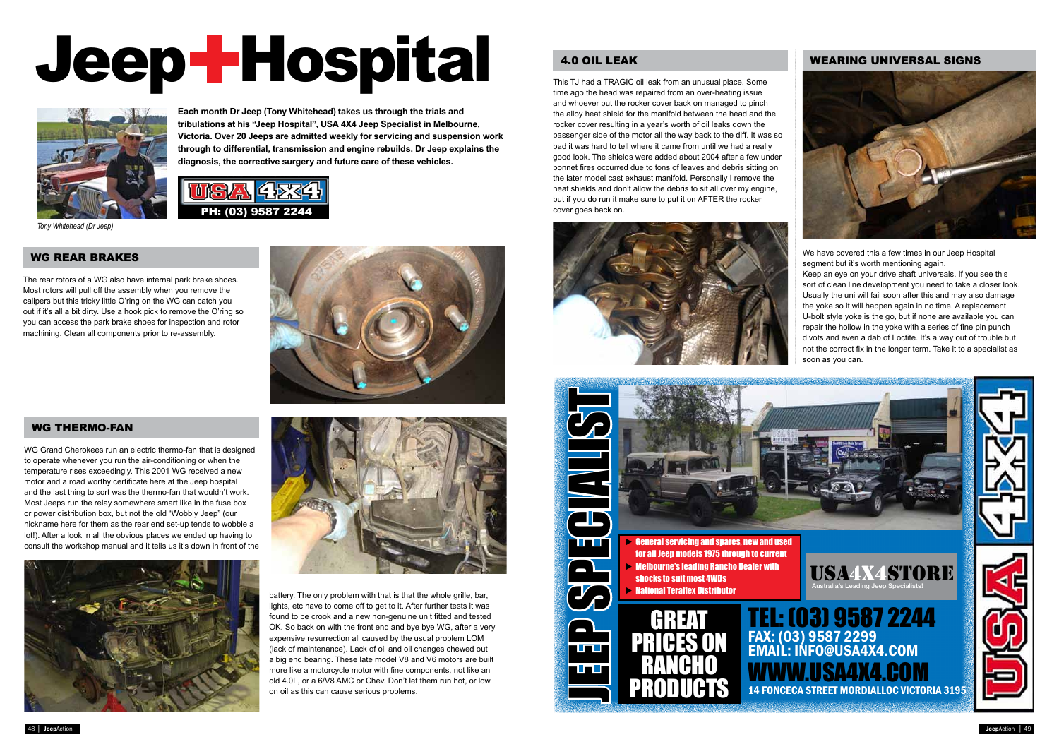**Each month Dr Jeep (Tony Whitehead) takes us through the trials and tribulations at his "Jeep Hospital", USA 4X4 Jeep Specialist in Melbourne, Victoria. Over 20 Jeeps are admitted weekly for servicing and suspension work through to differential, transmission and engine rebuilds. Dr Jeep explains the**  diagnosis, the corrective surgery and future care of these vehicles.<br>

# $\blacksquare$  . In this case  $\blacksquare$  and  $\blacksquare$  $\blacksquare$ ACCESSORIES, SPARES, SERVICE AND ADVICE Jeep Hospital







*Tony Whitehead (Dr Jeep)*

### WG REAR BRAKES

# 4.0 OIL LEAK WEARING UNIVERSAL SIGNS



We have covered this a few times in our Jeep Hospital segment but it's worth mentioning again.

# WG THERMO-FAN

The rear rotors of a WG also have internal park brake shoes. Most rotors will pull off the assembly when you remove the calipers but this tricky little O'ring on the WG can catch you out if it's all a bit dirty. Use a hook pick to remove the O'ring so you can access the park brake shoes for inspection and rotor machining. Clean all components prior to re-assembly.

This TJ had a TRAGIC oil leak from an unusual place. Some time ago the head was repaired from an over-heating issue and whoever put the rocker cover back on managed to pinch the alloy heat shield for the manifold between the head and the rocker cover resulting in a year's worth of oil leaks down the passenger side of the motor all the way back to the diff. It was so bad it was hard to tell where it came from until we had a really good look. The shields were added about 2004 after a few under bonnet fires occurred due to tons of leaves and debris sitting on the later model cast exhaust manifold. Personally I remove the heat shields and don't allow the debris to sit all over my engine, but if you do run it make sure to put it on AFTER the rocker cover goes back on.



WG Grand Cherokees run an electric thermo-fan that is designed to operate whenever you run the air-conditioning or when the temperature rises exceedingly. This 2001 WG received a new motor and a road worthy certificate here at the Jeep hospital and the last thing to sort was the thermo-fan that wouldn't work. Most Jeeps run the relay somewhere smart like in the fuse box or power distribution box, but not the old "Wobbly Jeep" (our nickname here for them as the rear end set-up tends to wobble a lot!). After a look in all the obvious places we ended up having to consult the workshop manual and it tells us it's down in front of the





Keep an eye on your drive shaft universals. If you see this sort of clean line development you need to take a closer look. Usually the uni will fail soon after this and may also damage the yoke so it will happen again in no time. A replacement U-bolt style yoke is the go, but if none are available you can repair the hollow in the yoke with a series of fine pin punch divots and even a dab of Loctite. It's a way out of trouble but not the correct fix in the longer term. Take it to a specialist as soon as you can.



battery. The only problem with that is that the whole grille, bar, lights, etc have to come off to get to it. After further tests it was found to be crook and a new non-genuine unit fitted and tested OK. So back on with the front end and bye bye WG, after a very expensive resurrection all caused by the usual problem LOM (lack of maintenance). Lack of oil and oil changes chewed out a big end bearing. These late model V8 and V6 motors are built more like a motorcycle motor with fine components, not like an old 4.0L, or a 6/V8 AMC or Chev. Don't let them run hot, or low on oil as this can cause serious problems.